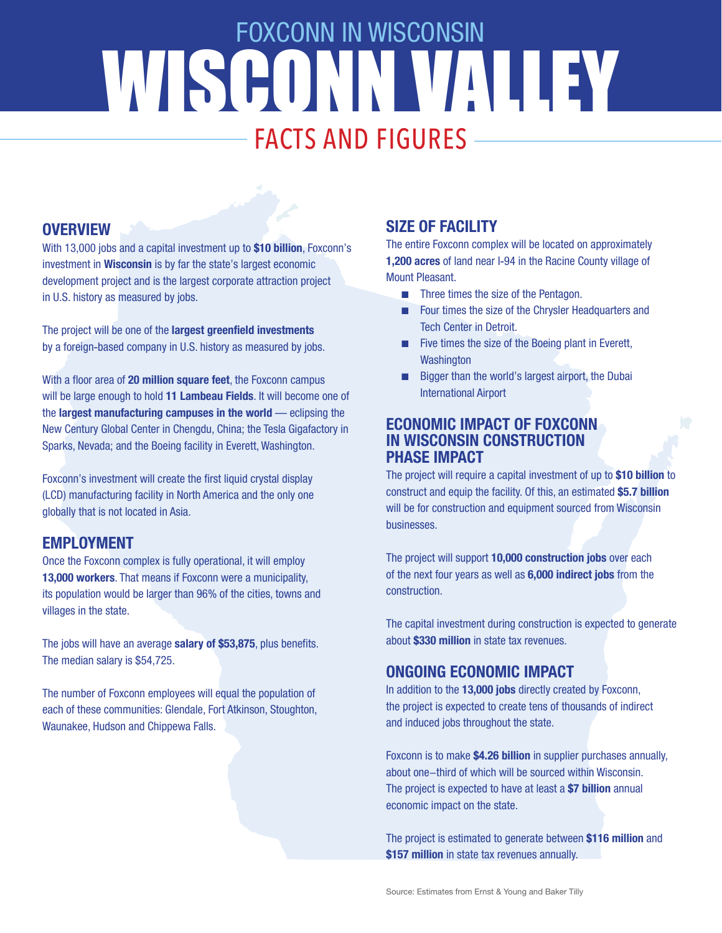## WISCONN VALLEY FOXCONN IN WISCONSIN FACTS AND FIGURES

### **OVERVIEW**

With 13,000 jobs and a capital investment up to **\$10 billion**, Foxconn's investment in **Wisconsin** is by far the state's largest economic development project and is the largest corporate attraction project in U.S. history as measured by jobs.

The project will be one of the **largest greenfield investments** by a foreign-based company in U.S. history as measured by jobs.

With a floor area of **20 million square feet**, the Foxconn campus will be large enough to hold **11 Lambeau Fields**. It will become one of the **largest manufacturing campuses in the world** — eclipsing the New Century Global Center in Chengdu, China; the Tesla Gigafactory in Sparks, Nevada; and the Boeing facility in Everett, Washington.

Foxconn's investment will create the first liquid crystal display (LCD) manufacturing facility in North America and the only one globally that is not located in Asia.

## **EMPLOYMENT**

Once the Foxconn complex is fully operational, it will employ **13,000 workers**. That means if Foxconn were a municipality, its population would be larger than 96% of the cities, towns and villages in the state.

The jobs will have an average **salary of \$53,875**, plus benefits. The median salary is \$54,725.

The number of Foxconn employees will equal the population of each of these communities: Glendale, Fort Atkinson, Stoughton, Waunakee, Hudson and Chippewa Falls.

## **SIZE OF FACILITY**

The entire Foxconn complex will be located on approximately **1,200 acres** of land near I-94 in the Racine County village of Mount Pleasant.

- **n** Three times the size of the Pentagon.
- Four times the size of the Chrysler Headquarters and Tech Center in Detroit.
- $\blacksquare$  Five times the size of the Boeing plant in Everett, **Washington**
- Bigger than the world's largest airport, the Dubai International Airport

#### **ECONOMIC IMPACT OF FOXCONN IN WISCONSIN CONSTRUCTION PHASE IMPACT**

The project will require a capital investment of up to **\$10 billion** to construct and equip the facility. Of this, an estimated **\$5.7 billion** will be for construction and equipment sourced from Wisconsin businesses.

The project will support **10,000 construction jobs** over each of the next four years as well as **6,000 indirect jobs** from the construction.

The capital investment during construction is expected to generate about **\$330 million** in state tax revenues.

## **ONGOING ECONOMIC IMPACT**

In addition to the **13,000 jobs** directly created by Foxconn, the project is expected to create tens of thousands of indirect and induced jobs throughout the state.

Foxconn is to make **\$4.26 billion** in supplier purchases annually, about one-third of which will be sourced within Wisconsin. The project is expected to have at least a **\$7 billion** annual economic impact on the state.

The project is estimated to generate between **\$116 million** and **\$157 million** in state tax revenues annually.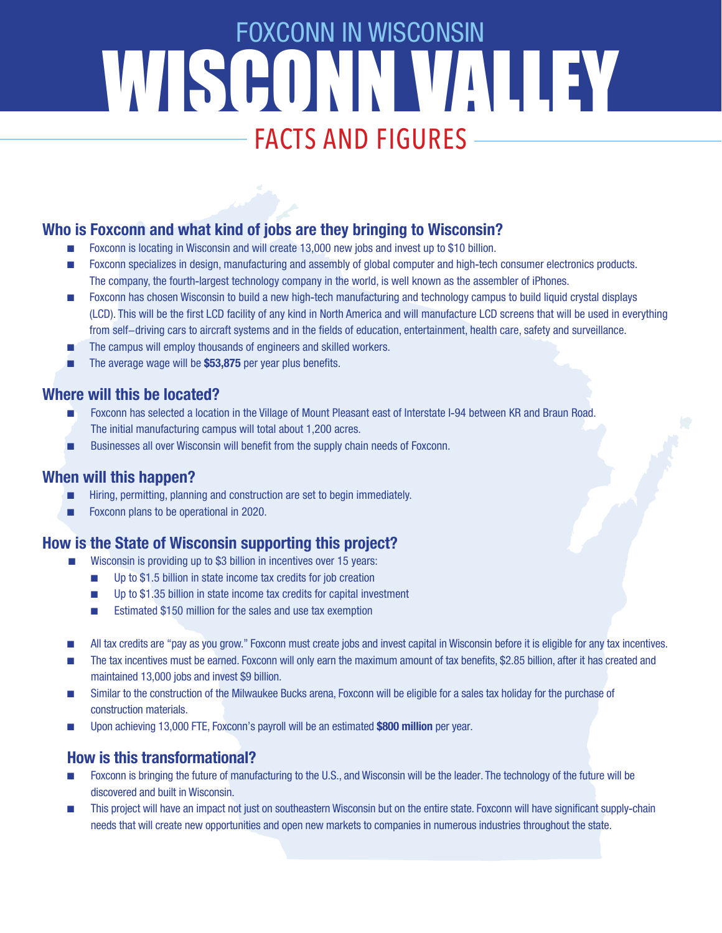# WISCONN VALLEY FOXCONN IN WISCONSIN FACTS AND FIGURES

## **Who is Foxconn and what kind of jobs are they bringing to Wisconsin?**

- Foxconn is locating in Wisconsin and will create 13,000 new jobs and invest up to \$10 billion.
- n Foxconn specializes in design, manufacturing and assembly of global computer and high-tech consumer electronics products. The company, the fourth-largest technology company in the world, is well known as the assembler of iPhones.
- **n Foxconn has chosen Wisconsin to build a new high-tech manufacturing and technology campus to build liquid crystal displays** (LCD). This will be the first LCD facility of any kind in North America and will manufacture LCD screens that will be used in everything from self-driving cars to aircraft systems and in the fields of education, entertainment, health care, safety and surveillance.
- The campus will employ thousands of engineers and skilled workers.
- The average wage will be \$53,875 per year plus benefits.

## **Where will this be located?**

- Foxconn has selected a location in the Village of Mount Pleasant east of Interstate I-94 between KR and Braun Road. The initial manufacturing campus will total about 1,200 acres.
- Businesses all over Wisconsin will benefit from the supply chain needs of Foxconn.

## **When will this happen?**

- Hiring, permitting, planning and construction are set to begin immediately.
- Foxconn plans to be operational in 2020.

## **How is the State of Wisconsin supporting this project?**

- Wisconsin is providing up to \$3 billion in incentives over 15 years:
	- **n** Up to \$1.5 billion in state income tax credits for job creation
	- **n** Up to \$1.35 billion in state income tax credits for capital investment
	- Estimated \$150 million for the sales and use tax exemption
- n All tax credits are "pay as you grow." Foxconn must create jobs and invest capital in Wisconsin before it is eligible for any tax incentives.
- n The tax incentives must be earned. Foxconn will only earn the maximum amount of tax benefits, \$2.85 billion, after it has created and maintained 13,000 jobs and invest \$9 billion.
- n Similar to the construction of the Milwaukee Bucks arena, Foxconn will be eligible for a sales tax holiday for the purchase of construction materials.
- Upon achieving 13,000 FTE, Foxconn's payroll will be an estimated \$800 million per year.

## **How is this transformational?**

- Foxconn is bringing the future of manufacturing to the U.S., and Wisconsin will be the leader. The technology of the future will be discovered and built in Wisconsin.
- n This project will have an impact not just on southeastern Wisconsin but on the entire state. Foxconn will have significant supply-chain needs that will create new opportunities and open new markets to companies in numerous industries throughout the state.